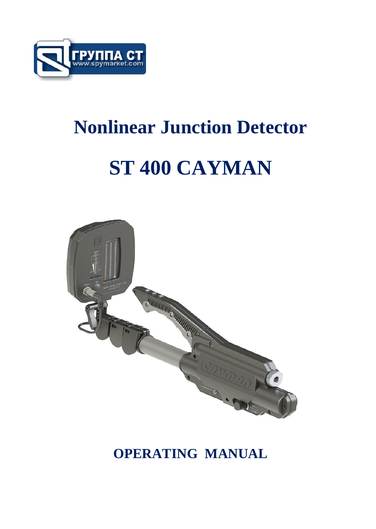

## **Nonlinear Junction Detector**

# **ST 400 CAYMAN**



### **OPERATING MANUAL**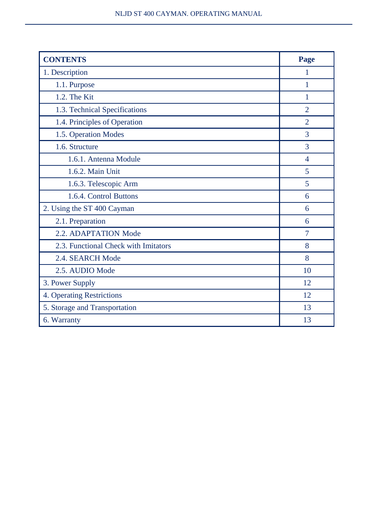| <b>CONTENTS</b>                      | Page           |
|--------------------------------------|----------------|
| 1. Description                       | 1              |
| 1.1. Purpose                         | 1              |
| $1.2$ . The Kit                      | 1              |
| 1.3. Technical Specifications        | $\mathfrak{D}$ |
| 1.4. Principles of Operation         | $\overline{2}$ |
| 1.5. Operation Modes                 | 3              |
| 1.6. Structure                       | 3              |
| 1.6.1. Antenna Module                | $\overline{4}$ |
| 1.6.2. Main Unit                     | 5              |
| 1.6.3. Telescopic Arm                | 5              |
| 1.6.4. Control Buttons               | 6              |
| 2. Using the ST 400 Cayman           | 6              |
| 2.1. Preparation                     | 6              |
| 2.2. ADAPTATION Mode                 | 7              |
| 2.3. Functional Check with Imitators | 8              |
| 2.4. SEARCH Mode                     | 8              |
| 2.5. AUDIO Mode                      | 10             |
| 3. Power Supply                      | 12             |
| 4. Operating Restrictions            | 12             |
| 5. Storage and Transportation        | 13             |
| 6. Warranty                          | 13             |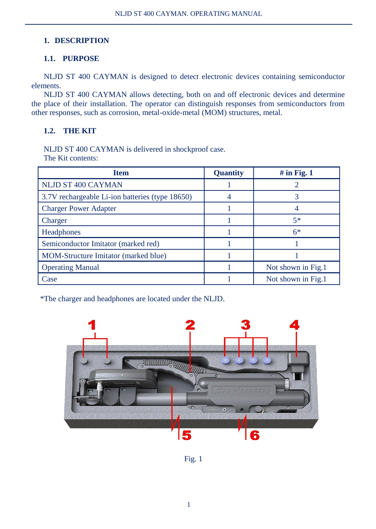#### **1. DESCRIPTION**

#### **1.1. PURPOSE**

NLJD ST 400 CAYMAN is designed to detect electronic devices containing semiconductor elements.

NLJD ST 400 CAYMAN allows detecting, both on and off electronic devices and determine the place of their installation. The operator can distinguish responses from semiconductors from other responses, such as corrosion, metal-oxide-metal (MOM) structures, metal.

#### **1.2. THE KIT**

NLJD ST 400 CAYMAN is delivered in shockproof case.

The Kit contents:

| <b>Item</b>                                     | Quantity | $#$ in Fig. 1      |
|-------------------------------------------------|----------|--------------------|
| NLJD ST 400 CAYMAN                              |          |                    |
| 3.7V rechargeable Li-ion batteries (type 18650) |          |                    |
| <b>Charger Power Adapter</b>                    |          |                    |
| Charger                                         |          | $5*$               |
| Headphones                                      |          | $6*$               |
| Semiconductor Imitator (marked red)             |          |                    |
| MOM-Structure Imitator (marked blue)            |          |                    |
| <b>Operating Manual</b>                         |          | Not shown in Fig.1 |
| Case                                            |          | Not shown in Fig.1 |

\*The charger and headphones are located under the NLJD.



Fig. 1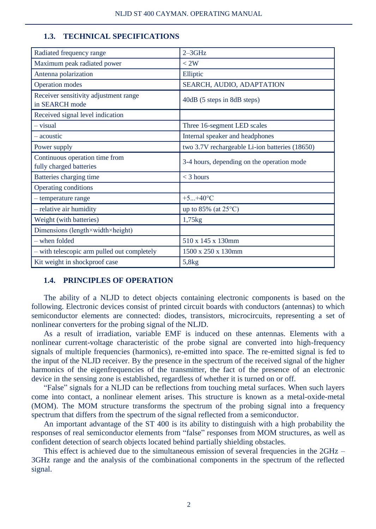#### **1.3. TECHNICAL SPECIFICATIONS**

| Radiated frequency range                                  | $2 - 3$ GHz                                    |
|-----------------------------------------------------------|------------------------------------------------|
| Maximum peak radiated power                               | < 2W                                           |
| Antenna polarization                                      | Elliptic                                       |
| <b>Operation</b> modes                                    | SEARCH, AUDIO, ADAPTATION                      |
| Receiver sensitivity adjustment range<br>in SEARCH mode   | 40dB (5 steps in 8dB steps)                    |
| Received signal level indication                          |                                                |
| $-$ visual                                                | Three 16-segment LED scales                    |
| - acoustic                                                | Internal speaker and headphones                |
| Power supply                                              | two 3.7V rechargeable Li-ion batteries (18650) |
| Continuous operation time from<br>fully charged batteries | 3-4 hours, depending on the operation mode     |
| Batteries charging time                                   | $<$ 3 hours                                    |
| Operating conditions                                      |                                                |
| - temperature range                                       | $+5+40$ °C                                     |
| - relative air humidity                                   | up to 85% (at 25°C)                            |
| Weight (with batteries)                                   | 1,75kg                                         |
| Dimensions (length×width×height)                          |                                                |
| - when folded                                             | 510 x 145 x 130mm                              |
| - with telescopic arm pulled out completely               | 1500 x 250 x 130mm                             |
| Kit weight in shockproof case                             | 5,8kg                                          |

#### **1.4. PRINCIPLES OF OPERATION**

The ability of a NLJD to detect objects containing electronic components is based on the following. Electronic devices consist of printed circuit boards with conductors (antennas) to which semiconductor elements are connected: diodes, transistors, microcircuits, representing a set of nonlinear converters for the probing signal of the NLJD.

As a result of irradiation, variable EMF is induced on these antennas. Elements with a nonlinear current-voltage characteristic of the probe signal are converted into high-frequency signals of multiple frequencies (harmonics), re-emitted into space. The re-emitted signal is fed to the input of the NLJD receiver. By the presence in the spectrum of the received signal of the higher harmonics of the eigenfrequencies of the transmitter, the fact of the presence of an electronic device in the sensing zone is established, regardless of whether it is turned on or off.

"False" signals for a NLJD can be reflections from touching metal surfaces. When such layers come into contact, a nonlinear element arises. This structure is known as a metal-oxide-metal (MOM). The MOM structure transforms the spectrum of the probing signal into a frequency spectrum that differs from the spectrum of the signal reflected from a semiconductor.

An important advantage of the ST 400 is its ability to distinguish with a high probability the responses of real semiconductor elements from "false" responses from MOM structures, as well as confident detection of search objects located behind partially shielding obstacles.

This effect is achieved due to the simultaneous emission of several frequencies in the  $2GHz$  – 3GHz range and the analysis of the combinational components in the spectrum of the reflected signal.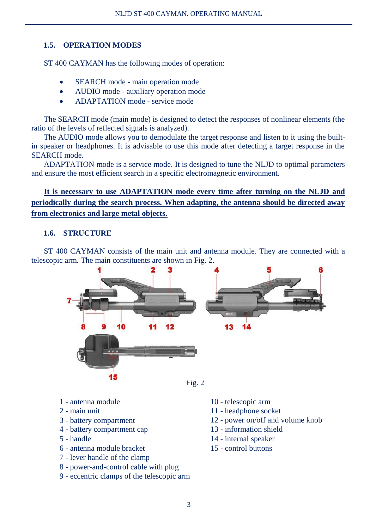#### **1.5. OPERATION MODES**

ST 400 CAYMAN has the following modes of operation:

- SEARCH mode main operation mode
- AUDIO mode auxiliary operation mode
- ADAPTATION mode service mode

The SEARCH mode (main mode) is designed to detect the responses of nonlinear elements (the ratio of the levels of reflected signals is analyzed).

The AUDIO mode allows you to demodulate the target response and listen to it using the builtin speaker or headphones. It is advisable to use this mode after detecting a target response in the SEARCH mode.

ADAPTATION mode is a service mode. It is designed to tune the NLJD to optimal parameters and ensure the most efficient search in a specific electromagnetic environment.

**It is necessary to use ADAPTATION mode every time after turning on the NLJD and periodically during the search process. When adapting, the antenna should be directed away from electronics and large metal objects.**

#### **1.6. STRUCTURE**

ST 400 CAYMAN consists of the main unit and antenna module. They are connected with a telescopic arm. The main constituents are shown in Fig. 2.



- 1 antenna module
- 2 main unit
- 3 battery compartment
- 4 battery compartment cap
- 5 handle
- 6 antenna module bracket
- 7 lever handle of the clamp
- 8 power-and-control cable with plug
- 9 eccentric clamps of the telescopic arm
- 10 telescopic arm
- 11 headphone socket
- 12 power on/off and volume knob
- 13 information shield
- 14 internal speaker
- 15 control buttons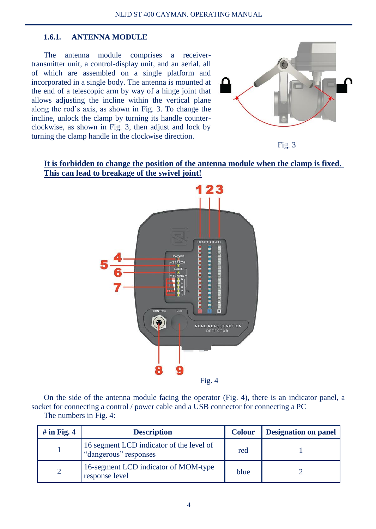#### **1.6.1. ANTENNA MODULE**

The antenna module comprises a receivertransmitter unit, a control-display unit, and an aerial, all of which are assembled on a single platform and incorporated in a single body. The antenna is mounted at the end of a telescopic arm by way of a hinge joint that allows adjusting the incline within the vertical plane along the rod's axis, as shown in Fig. 3. To change the incline, unlock the clamp by turning its handle counterclockwise, as shown in Fig. 3, then adjust and lock by turning the clamp handle in the clockwise direction.





#### **It is forbidden to change the position of the antenna module when the clamp is fixed. This can lead to breakage of the swivel joint!**



On the side of the antenna module facing the operator (Fig. 4), there is an indicator panel, a socket for connecting a control / power cable and a USB connector for connecting a PC

The numbers in Fig. 4:

| # in Fig. $4$ | <b>Description</b>                                                | <b>Colour</b> | <b>Designation on panel</b> |
|---------------|-------------------------------------------------------------------|---------------|-----------------------------|
|               | 16 segment LCD indicator of the level of<br>"dangerous" responses | red           |                             |
|               | 16-segment LCD indicator of MOM-type<br>response level            | blue          |                             |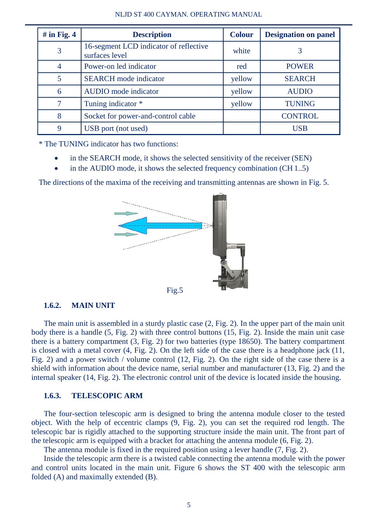| # in Fig. $4$ | <b>Description</b>                                       | <b>Colour</b> | <b>Designation on panel</b> |
|---------------|----------------------------------------------------------|---------------|-----------------------------|
| 3             | 16-segment LCD indicator of reflective<br>surfaces level | white         |                             |
| 4             | Power-on led indicator                                   | red           | <b>POWER</b>                |
|               | <b>SEARCH</b> mode indicator                             | yellow        | <b>SEARCH</b>               |
| 6             | AUDIO mode indicator                                     | yellow        | <b>AUDIO</b>                |
|               | Tuning indicator *                                       | vellow        | <b>TUNING</b>               |
| 8             | Socket for power-and-control cable                       |               | <b>CONTROL</b>              |
| 9             | USB port (not used)                                      |               | <b>USB</b>                  |

\* The TUNING indicator has two functions:

- in the SEARCH mode, it shows the selected sensitivity of the receiver (SEN)
- in the AUDIO mode, it shows the selected frequency combination (CH 1..5)

The directions of the maxima of the receiving and transmitting antennas are shown in Fig. 5.



#### **1.6.2. MAIN UNIT**

The main unit is assembled in a sturdy plastic case (2, Fig. 2). In the upper part of the main unit body there is a handle (5, Fig. 2) with three control buttons (15, Fig. 2). Inside the main unit case there is a battery compartment (3, Fig. 2) for two batteries (type 18650). The battery compartment is closed with a metal cover (4, Fig. 2). On the left side of the case there is a headphone jack (11, Fig. 2) and a power switch / volume control (12, Fig. 2). On the right side of the case there is a shield with information about the device name, serial number and manufacturer (13, Fig. 2) and the internal speaker (14, Fig. 2). The electronic control unit of the device is located inside the housing.

#### **1.6.3. TELESCOPIC ARM**

The four-section telescopic arm is designed to bring the antenna module closer to the tested object. With the help of eccentric clamps (9, Fig. 2), you can set the required rod length. The telescopic bar is rigidly attached to the supporting structure inside the main unit. The front part of the telescopic arm is equipped with a bracket for attaching the antenna module (6, Fig. 2).

The antenna module is fixed in the required position using a lever handle (7, Fig. 2).

Inside the telescopic arm there is a twisted cable connecting the antenna module with the power and control units located in the main unit. Figure 6 shows the ST 400 with the telescopic arm folded (A) and maximally extended (B).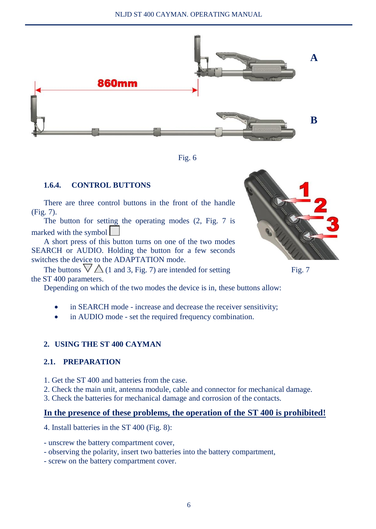



#### **1.6.4. CONTROL BUTTONS**

There are three control buttons in the front of the handle (Fig. 7).

The button for setting the operating modes (2, Fig. 7 is marked with the symbol

A short press of this button turns on one of the two modes SEARCH or AUDIO. Holding the button for a few seconds switches the device to the ADAPTATION mode.

The buttons  $\nabla \triangle$  (1 and 3, Fig. 7) are intended for setting Fig. 7 the ST 400 parameters.

Depending on which of the two modes the device is in, these buttons allow:

- in SEARCH mode increase and decrease the receiver sensitivity;
- in AUDIO mode set the required frequency combination.

#### **2. USING THE ST 400 CAYMAN**

#### **2.1. PREPARATION**

- 1. Get the ST 400 and batteries from the case.
- 2. Check the main unit, antenna module, cable and connector for mechanical damage.
- 3. Check the batteries for mechanical damage and corrosion of the contacts.

#### **In the presence of these problems, the operation of the ST 400 is prohibited!**

4. Install batteries in the ST 400 (Fig. 8):

- unscrew the battery compartment cover,
- observing the polarity, insert two batteries into the battery compartment,
- screw on the battery compartment cover.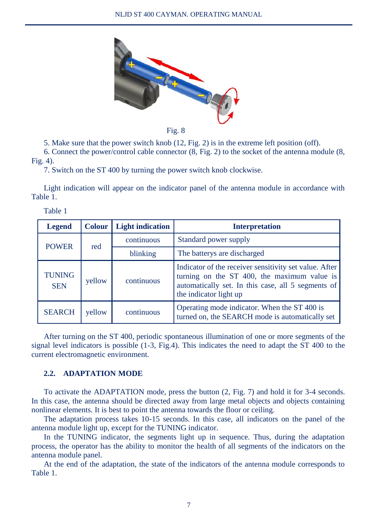

Fig. 8

5. Make sure that the power switch knob (12, Fig. 2) is in the extreme left position (off).

6. Connect the power/control cable connector (8, Fig. 2) to the socket of the antenna module (8, Fig. 4).

7. Switch on the ST 400 by turning the power switch knob clockwise.

Light indication will appear on the indicator panel of the antenna module in accordance with Table 1.

| . .<br>× | ۰. | ×<br>٠ |  |
|----------|----|--------|--|
|          |    |        |  |

| <b>Legend</b>        | <b>Colour</b> | <b>Light indication</b> | <b>Interpretation</b>                                                                                                                                                                 |
|----------------------|---------------|-------------------------|---------------------------------------------------------------------------------------------------------------------------------------------------------------------------------------|
| <b>POWER</b><br>red  |               | continuous              | Standard power supply                                                                                                                                                                 |
|                      |               | blinking                | The batterys are discharged                                                                                                                                                           |
| TUNING<br><b>SEN</b> | yellow        | continuous              | Indicator of the receiver sensitivity set value. After<br>turning on the ST 400, the maximum value is<br>automatically set. In this case, all 5 segments of<br>the indicator light up |
| <b>SEARCH</b>        | yellow        | continuous              | Operating mode indicator. When the ST 400 is<br>turned on, the SEARCH mode is automatically set                                                                                       |

After turning on the ST 400, periodic spontaneous illumination of one or more segments of the signal level indicators is possible (1-3, Fig.4). This indicates the need to adapt the ST 400 to the current electromagnetic environment.

#### **2.2. ADAPTATION MODE**

To activate the ADAPTATION mode, press the button (2, Fig. 7) and hold it for 3-4 seconds. In this case, the antenna should be directed away from large metal objects and objects containing nonlinear elements. It is best to point the antenna towards the floor or ceiling.

The adaptation process takes 10-15 seconds. In this case, all indicators on the panel of the antenna module light up, except for the TUNING indicator.

In the TUNING indicator, the segments light up in sequence. Thus, during the adaptation process, the operator has the ability to monitor the health of all segments of the indicators on the antenna module panel.

At the end of the adaptation, the state of the indicators of the antenna module corresponds to Table 1.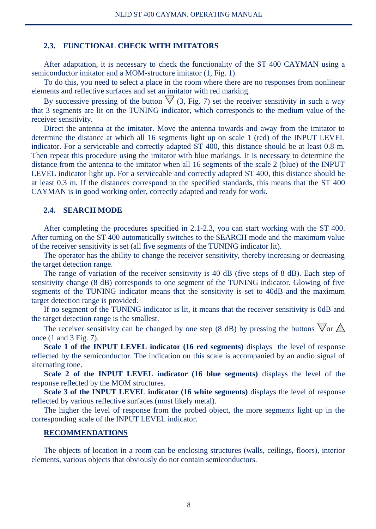#### **2.3. FUNCTIONAL CHECK WITH IMITATORS**

After adaptation, it is necessary to check the functionality of the ST 400 CAYMAN using a semiconductor imitator and a MOM-structure imitator  $(1, Fig. 1)$ .

To do this, you need to select a place in the room where there are no responses from nonlinear elements and reflective surfaces and set an imitator with red marking.

By successive pressing of the button  $\nabla$  (3, Fig. 7) set the receiver sensitivity in such a way that 3 segments are lit on the TUNING indicator, which corresponds to the medium value of the receiver sensitivity.

Direct the antenna at the imitator. Move the antenna towards and away from the imitator to determine the distance at which all 16 segments light up on scale 1 (red) of the INPUT LEVEL indicator. For a serviceable and correctly adapted ST 400, this distance should be at least 0.8 m. Then repeat this procedure using the imitator with blue markings. It is necessary to determine the distance from the antenna to the imitator when all 16 segments of the scale 2 (blue) of the INPUT LEVEL indicator light up. For a serviceable and correctly adapted ST 400, this distance should be at least 0.3 m. If the distances correspond to the specified standards, this means that the ST 400 CAYMAN is in good working order, correctly adapted and ready for work.

#### **2.4. SEARCH MODE**

After completing the procedures specified in 2.1-2.3, you can start working with the ST 400. After turning on the ST 400 automatically switches to the SEARCH mode and the maximum value of the receiver sensitivity is set (all five segments of the TUNING indicator lit).

The operator has the ability to change the receiver sensitivity, thereby increasing or decreasing the target detection range.

The range of variation of the receiver sensitivity is 40 dB (five steps of 8 dB). Each step of sensitivity change (8 dB) corresponds to one segment of the TUNING indicator. Glowing of five segments of the TUNING indicator means that the sensitivity is set to 40dB and the maximum target detection range is provided.

If no segment of the TUNING indicator is lit, it means that the receiver sensitivity is 0dB and the target detection range is the smallest.

The receiver sensitivity can be changed by one step (8 dB) by pressing the buttons  $\nabla$  or  $\triangle$ once (1 and 3 Fig. 7).

**Scale 1 of the INPUT LEVEL indicator (16 red segments)** displays the level of response reflected by the semiconductor. The indication on this scale is accompanied by an audio signal of alternating tone.

**Scale 2 of the INPUT LEVEL indicator (16 blue segments)** displays the level of the response reflected by the MOM structures.

**Scale 3 of the INPUT LEVEL indicator (16 white segments)** displays the level of response reflected by various reflective surfaces (most likely metal).

The higher the level of response from the probed object, the more segments light up in the corresponding scale of the INPUT LEVEL indicator.

#### **RECOMMENDATIONS**

The objects of location in a room can be enclosing structures (walls, ceilings, floors), interior elements, various objects that obviously do not contain semiconductors.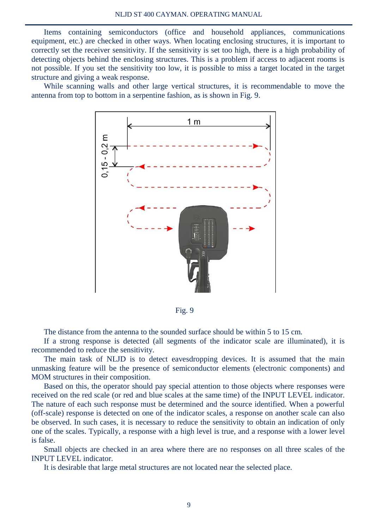Items containing semiconductors (office and household appliances, communications equipment, etc.) are checked in other ways. When locating enclosing structures, it is important to correctly set the receiver sensitivity. If the sensitivity is set too high, there is a high probability of detecting objects behind the enclosing structures. This is a problem if access to adjacent rooms is not possible. If you set the sensitivity too low, it is possible to miss a target located in the target structure and giving a weak response.

While scanning walls and other large vertical structures, it is recommendable to move the antenna from top to bottom in a serpentine fashion, as is shown in Fig. 9.



Fig. 9

The distance from the antenna to the sounded surface should be within 5 to 15 cm.

If a strong response is detected (all segments of the indicator scale are illuminated), it is recommended to reduce the sensitivity.

The main task of NLJD is to detect eavesdropping devices. It is assumed that the main unmasking feature will be the presence of semiconductor elements (electronic components) and MOM structures in their composition.

Based on this, the operator should pay special attention to those objects where responses were received on the red scale (or red and blue scales at the same time) of the INPUT LEVEL indicator. The nature of each such response must be determined and the source identified. When a powerful (off-scale) response is detected on one of the indicator scales, a response on another scale can also be observed. In such cases, it is necessary to reduce the sensitivity to obtain an indication of only one of the scales. Typically, a response with a high level is true, and a response with a lower level is false.

Small objects are checked in an area where there are no responses on all three scales of the INPUT LEVEL indicator.

It is desirable that large metal structures are not located near the selected place.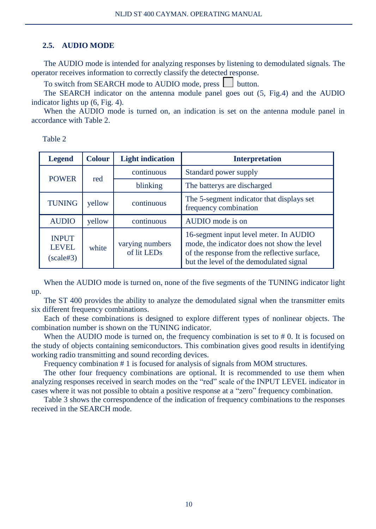#### **2.5. AUDIO MODE**

The AUDIO mode is intended for analyzing responses by listening to demodulated signals. The operator receives information to correctly classify the detected response.

To switch from SEARCH mode to AUDIO mode, press button.

The SEARCH indicator on the antenna module panel goes out (5, Fig.4) and the AUDIO indicator lights up (6, Fig. 4).

When the AUDIO mode is turned on, an indication is set on the antenna module panel in accordance with Table 2.

Table 2

| <b>Legend</b>                                  | <b>Colour</b> | <b>Light indication</b>        | <b>Interpretation</b>                                                                                                                                                            |
|------------------------------------------------|---------------|--------------------------------|----------------------------------------------------------------------------------------------------------------------------------------------------------------------------------|
| <b>POWER</b><br>red                            |               | continuous                     | Standard power supply                                                                                                                                                            |
|                                                |               | blinking                       | The batterys are discharged                                                                                                                                                      |
| <b>TUNING</b>                                  | yellow        | continuous                     | The 5-segment indicator that displays set<br>frequency combination                                                                                                               |
| <b>AUDIO</b>                                   | yellow        | continuous                     | AUDIO mode is on                                                                                                                                                                 |
| <b>INPUT</b><br><b>LEVEL</b><br>$(scale \# 3)$ | white         | varying numbers<br>of lit LEDs | 16-segment input level meter. In AUDIO<br>mode, the indicator does not show the level<br>of the response from the reflective surface,<br>but the level of the demodulated signal |

When the AUDIO mode is turned on, none of the five segments of the TUNING indicator light up.

The ST 400 provides the ability to analyze the demodulated signal when the transmitter emits six different frequency combinations.

Each of these combinations is designed to explore different types of nonlinear objects. The combination number is shown on the TUNING indicator.

When the AUDIO mode is turned on, the frequency combination is set to  $#0$ . It is focused on the study of objects containing semiconductors. This combination gives good results in identifying working radio transmitting and sound recording devices.

Frequency combination # 1 is focused for analysis of signals from MOM structures.

The other four frequency combinations are optional. It is recommended to use them when analyzing responses received in search modes on the "red" scale of the INPUT LEVEL indicator in cases where it was not possible to obtain a positive response at a "zero" frequency combination.

Table 3 shows the correspondence of the indication of frequency combinations to the responses received in the SEARCH mode.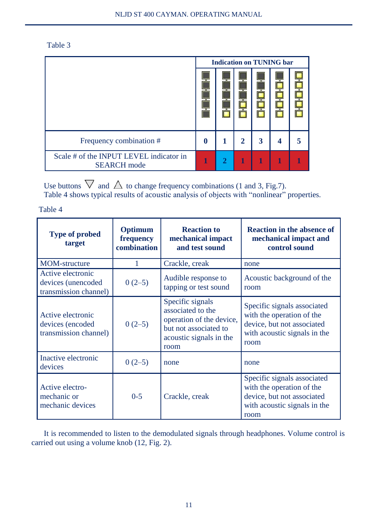| ۰, |  |  |
|----|--|--|

|                                                               | <b>Indication on TUNING bar</b> |  |   |   |  |  |
|---------------------------------------------------------------|---------------------------------|--|---|---|--|--|
|                                                               |                                 |  |   |   |  |  |
| Frequency combination #                                       | 0                               |  | 2 | 3 |  |  |
| Scale # of the INPUT LEVEL indicator in<br><b>SEARCH</b> mode | 1                               |  |   | 1 |  |  |

Use buttons  $\vee$  and  $\triangle$  to change frequency combinations (1 and 3, Fig.7). Table 4 shows typical results of acoustic analysis of objects with "nonlinear" properties.

Table 4

| <b>Type of probed</b><br>target                                  | Optimum<br>frequency<br>combination | <b>Reaction to</b><br>mechanical impact<br>and test sound                                                                     | <b>Reaction in the absence of</b><br>mechanical impact and<br>control sound                                                    |
|------------------------------------------------------------------|-------------------------------------|-------------------------------------------------------------------------------------------------------------------------------|--------------------------------------------------------------------------------------------------------------------------------|
| <b>MOM-structure</b>                                             | 1                                   | Crackle, creak                                                                                                                | none                                                                                                                           |
| Active electronic<br>devices (unencoded<br>transmission channel) | $0(2-5)$                            | Audible response to<br>tapping or test sound                                                                                  | Acoustic background of the<br>room                                                                                             |
| Active electronic<br>devices (encoded<br>transmission channel)   | $0(2-5)$                            | Specific signals<br>associated to the<br>operation of the device,<br>but not associated to<br>acoustic signals in the<br>room | Specific signals associated<br>with the operation of the<br>device, but not associated<br>with acoustic signals in the<br>room |
| Inactive electronic<br>devices                                   | $0(2-5)$                            | none                                                                                                                          | none                                                                                                                           |
| Active electro-<br>mechanic or<br>mechanic devices               | $0 - 5$                             | Crackle, creak                                                                                                                | Specific signals associated<br>with the operation of the<br>device, but not associated<br>with acoustic signals in the<br>room |

It is recommended to listen to the demodulated signals through headphones. Volume control is carried out using a volume knob (12, Fig. 2).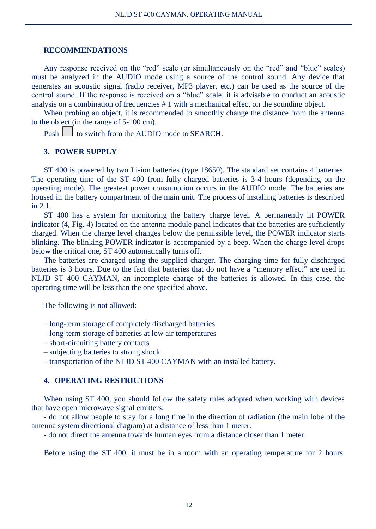#### **RECOMMENDATIONS**

Any response received on the "red" scale (or simultaneously on the "red" and "blue" scales) must be analyzed in the AUDIO mode using a source of the control sound. Any device that generates an acoustic signal (radio receiver, MP3 player, etc.) can be used as the source of the control sound. If the response is received on a "blue" scale, it is advisable to conduct an acoustic analysis on a combination of frequencies # 1 with a mechanical effect on the sounding object.

When probing an object, it is recommended to smoothly change the distance from the antenna to the object (in the range of 5-100 cm).

Push  $\vert \cdot \vert$  to switch from the AUDIO mode to SEARCH.

#### **3. POWER SUPPLY**

ST 400 is powered by two Li-ion batteries (type 18650). The standard set contains 4 batteries. The operating time of the ST 400 from fully charged batteries is 3-4 hours (depending on the operating mode). The greatest power consumption occurs in the AUDIO mode. The batteries are housed in the battery compartment of the main unit. The process of installing batteries is described in 2.1.

ST 400 has a system for monitoring the battery charge level. A permanently lit POWER indicator (4, Fig. 4) located on the antenna module panel indicates that the batteries are sufficiently charged. When the charge level changes below the permissible level, the POWER indicator starts blinking. The blinking POWER indicator is accompanied by a beep. When the charge level drops below the critical one, ST 400 automatically turns off.

The batteries are charged using the supplied charger. The charging time for fully discharged batteries is 3 hours. Due to the fact that batteries that do not have a "memory effect" are used in NLJD ST 400 CAYMAN, an incomplete charge of the batteries is allowed. In this case, the operating time will be less than the one specified above.

The following is not allowed:

– long-term storage of completely discharged batteries

- long-term storage of batteries at low air temperatures
- short-circuiting battery contacts
- subjecting batteries to strong shock
- transportation of the NLJD ST 400 CAYMAN with an installed battery.

#### **4. OPERATING RESTRICTIONS**

When using ST 400, you should follow the safety rules adopted when working with devices that have open microwave signal emitters:

- do not allow people to stay for a long time in the direction of radiation (the main lobe of the antenna system directional diagram) at a distance of less than 1 meter.

- do not direct the antenna towards human eyes from a distance closer than 1 meter.

Before using the ST 400, it must be in a room with an operating temperature for 2 hours.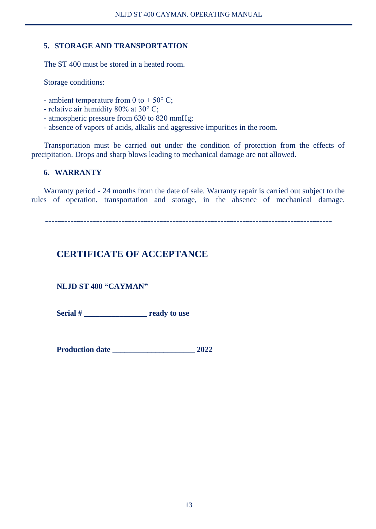#### **5. STORAGE AND TRANSPORTATION**

The ST 400 must be stored in a heated room.

Storage conditions:

- ambient temperature from 0 to  $+ 50^{\circ}$  C;
- relative air humidity 80% at 30° C;
- atmospheric pressure from 630 to 820 mmHg;
- absence of vapors of acids, alkalis and aggressive impurities in the room.

Transportation must be carried out under the condition of protection from the effects of precipitation. Drops and sharp blows leading to mechanical damage are not allowed.

#### **6. WARRANTY**

Warranty period - 24 months from the date of sale. Warranty repair is carried out subject to the rules of operation, transportation and storage, in the absence of mechanical damage.

**------------------------------------------------------------------------------------------**

#### **CERTIFICATE OF ACCEPTANCE**

#### **NLJD ST 400 "CAYMAN"**

Serial # **The ready to use** 

**Production date** 2022